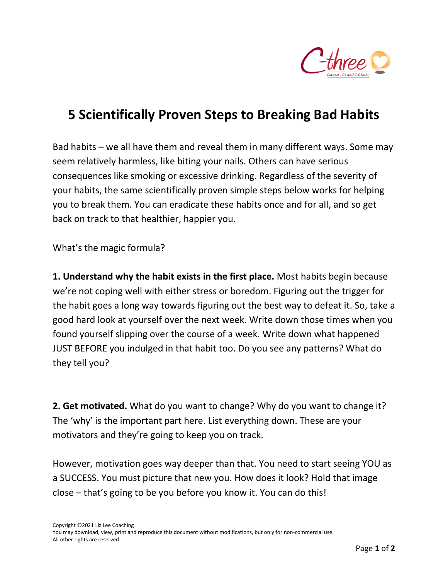

## **5 Scientifically Proven Steps to Breaking Bad Habits**

Bad habits – we all have them and reveal them in many different ways. Some may seem relatively harmless, like biting your nails. Others can have serious consequences like smoking or excessive drinking. Regardless of the severity of your habits, the same scientifically proven simple steps below works for helping you to break them. You can eradicate these habits once and for all, and so get back on track to that healthier, happier you.

What's the magic formula?

**1. Understand why the habit exists in the first place.** Most habits begin because we're not coping well with either stress or boredom. Figuring out the trigger for the habit goes a long way towards figuring out the best way to defeat it. So, take a good hard look at yourself over the next week. Write down those times when you found yourself slipping over the course of a week. Write down what happened JUST BEFORE you indulged in that habit too. Do you see any patterns? What do they tell you?

**2. Get motivated.** What do you want to change? Why do you want to change it? The 'why' is the important part here. List everything down. These are your motivators and they're going to keep you on track.

However, motivation goes way deeper than that. You need to start seeing YOU as a SUCCESS. You must picture that new you. How does it look? Hold that image close – that's going to be you before you know it. You can do this!